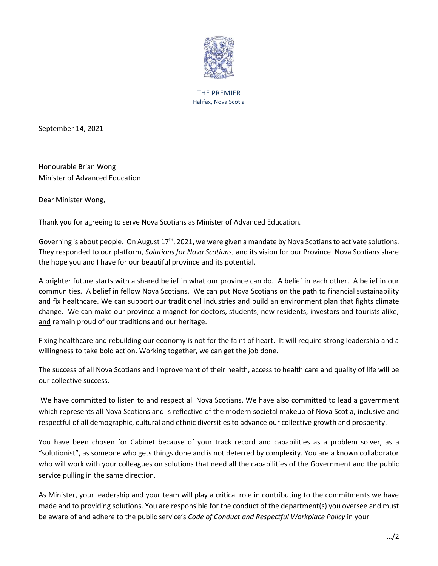

THE PREMIER Halifax, Nova Scotia

September 14, 2021

Honourable Brian Wong Minister of Advanced Education

Dear Minister Wong,

Thank you for agreeing to serve Nova Scotians as Minister of Advanced Education.

Governing is about people. On August  $17<sup>th</sup>$ , 2021, we were given a mandate by Nova Scotians to activate solutions. They responded to our platform, *Solutions for Nova Scotians*, and its vision for our Province. Nova Scotians share the hope you and I have for our beautiful province and its potential.

A brighter future starts with a shared belief in what our province can do. A belief in each other. A belief in our communities. A belief in fellow Nova Scotians. We can put Nova Scotians on the path to financial sustainability and fix healthcare. We can support our traditional industries and build an environment plan that fights climate change. We can make our province a magnet for doctors, students, new residents, investors and tourists alike, and remain proud of our traditions and our heritage.

Fixing healthcare and rebuilding our economy is not for the faint of heart. It will require strong leadership and a willingness to take bold action. Working together, we can get the job done.

The success of all Nova Scotians and improvement of their health, access to health care and quality of life will be our collective success.

We have committed to listen to and respect all Nova Scotians. We have also committed to lead a government which represents all Nova Scotians and is reflective of the modern societal makeup of Nova Scotia, inclusive and respectful of all demographic, cultural and ethnic diversities to advance our collective growth and prosperity.

You have been chosen for Cabinet because of your track record and capabilities as a problem solver, as a "solutionist", as someone who gets things done and is not deterred by complexity. You are a known collaborator who will work with your colleagues on solutions that need all the capabilities of the Government and the public service pulling in the same direction.

As Minister, your leadership and your team will play a critical role in contributing to the commitments we have made and to providing solutions. You are responsible for the conduct of the department(s) you oversee and must be aware of and adhere to the public service's *Code of Conduct and Respectful Workplace Policy* in your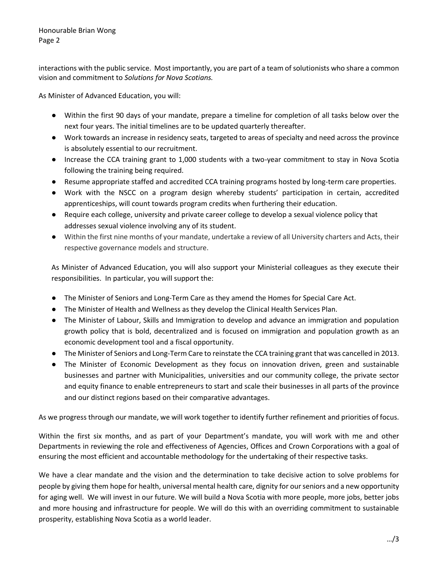interactions with the public service. Most importantly, you are part of a team of solutionists who share a common vision and commitment to *Solutions for Nova Scotians.*

As Minister of Advanced Education, you will:

- Within the first 90 days of your mandate, prepare a timeline for completion of all tasks below over the next four years. The initial timelines are to be updated quarterly thereafter.
- Work towards an increase in residency seats, targeted to areas of specialty and need across the province is absolutely essential to our recruitment.
- Increase the CCA training grant to 1,000 students with a two-year commitment to stay in Nova Scotia following the training being required.
- Resume appropriate staffed and accredited CCA training programs hosted by long-term care properties.
- Work with the NSCC on a program design whereby students' participation in certain, accredited apprenticeships, will count towards program credits when furthering their education.
- Require each college, university and private career college to develop a sexual violence policy that addresses sexual violence involving any of its student.
- Within the first nine months of your mandate, undertake a review of all University charters and Acts, their respective governance models and structure.

As Minister of Advanced Education, you will also support your Ministerial colleagues as they execute their responsibilities. In particular, you will support the:

- The Minister of Seniors and Long-Term Care as they amend the Homes for Special Care Act.
- The Minister of Health and Wellness as they develop the Clinical Health Services Plan.
- The Minister of Labour, Skills and Immigration to develop and advance an immigration and population growth policy that is bold, decentralized and is focused on immigration and population growth as an economic development tool and a fiscal opportunity.
- The Minister of Seniors and Long-Term Care to reinstate the CCA training grant that was cancelled in 2013.
- The Minister of Economic Development as they focus on innovation driven, green and sustainable businesses and partner with Municipalities, universities and our community college, the private sector and equity finance to enable entrepreneurs to start and scale their businesses in all parts of the province and our distinct regions based on their comparative advantages.

As we progress through our mandate, we will work together to identify further refinement and priorities of focus.

Within the first six months, and as part of your Department's mandate, you will work with me and other Departments in reviewing the role and effectiveness of Agencies, Offices and Crown Corporations with a goal of ensuring the most efficient and accountable methodology for the undertaking of their respective tasks.

We have a clear mandate and the vision and the determination to take decisive action to solve problems for people by giving them hope for health, universal mental health care, dignity for our seniors and a new opportunity for aging well. We will invest in our future. We will build a Nova Scotia with more people, more jobs, better jobs and more housing and infrastructure for people. We will do this with an overriding commitment to sustainable prosperity, establishing Nova Scotia as a world leader.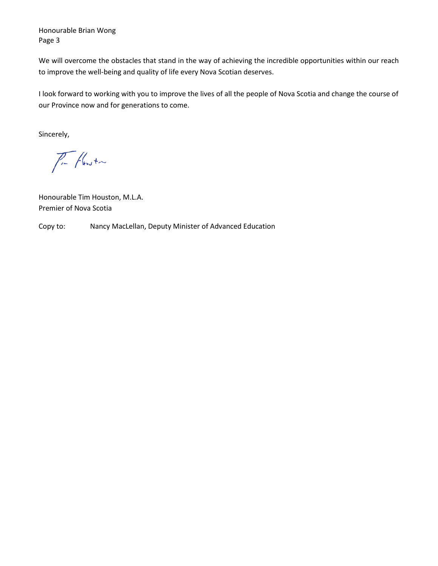Honourable Brian Wong Page 3

We will overcome the obstacles that stand in the way of achieving the incredible opportunities within our reach to improve the well-being and quality of life every Nova Scotian deserves.

I look forward to working with you to improve the lives of all the people of Nova Scotia and change the course of our Province now and for generations to come.

Sincerely,

 $\sqrt{1-\sqrt{\frac{1}{2}}}$ 

Honourable Tim Houston, M.L.A. Premier of Nova Scotia

Copy to: Nancy MacLellan, Deputy Minister of Advanced Education